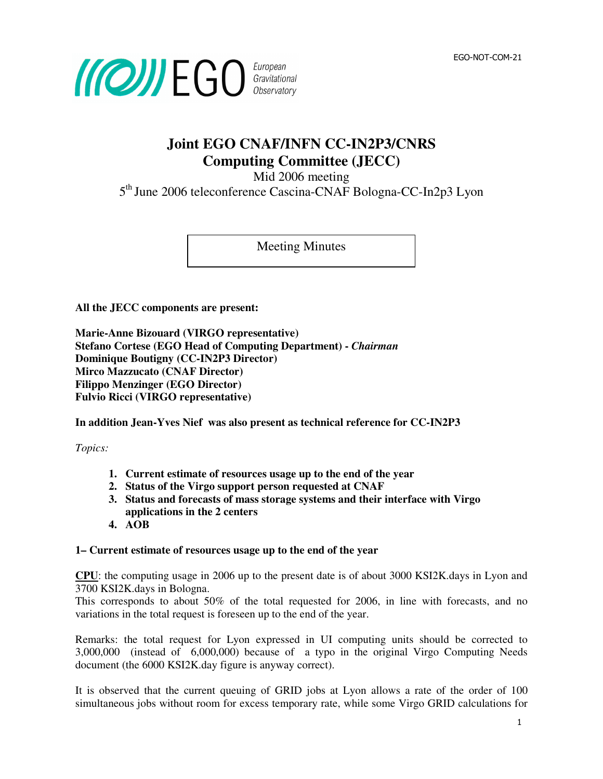

### **Joint EGO CNAF/INFN CC-IN2P3/CNRS Computing Committee (JECC)**

Mid 2006 meeting

5<sup>th</sup> June 2006 teleconference Cascina-CNAF Bologna-CC-In2p3 Lyon

Meeting Minutes

**All the JECC components are present:** 

**Marie-Anne Bizouard (VIRGO representative) Stefano Cortese (EGO Head of Computing Department) -** *Chairman* **Dominique Boutigny (CC-IN2P3 Director) Mirco Mazzucato (CNAF Director) Filippo Menzinger (EGO Director) Fulvio Ricci (VIRGO representative)** 

**In addition Jean-Yves Nief was also present as technical reference for CC-IN2P3** 

*Topics:* 

- **1. Current estimate of resources usage up to the end of the year**
- **2. Status of the Virgo support person requested at CNAF**
- **3. Status and forecasts of mass storage systems and their interface with Virgo applications in the 2 centers**
- **4. AOB**

### **1– Current estimate of resources usage up to the end of the year**

**CPU**: the computing usage in 2006 up to the present date is of about 3000 KSI2K.days in Lyon and 3700 KSI2K.days in Bologna.

This corresponds to about 50% of the total requested for 2006, in line with forecasts, and no variations in the total request is foreseen up to the end of the year.

Remarks: the total request for Lyon expressed in UI computing units should be corrected to 3,000,000 (instead of 6,000,000) because of a typo in the original Virgo Computing Needs document (the 6000 KSI2K.day figure is anyway correct).

It is observed that the current queuing of GRID jobs at Lyon allows a rate of the order of 100 simultaneous jobs without room for excess temporary rate, while some Virgo GRID calculations for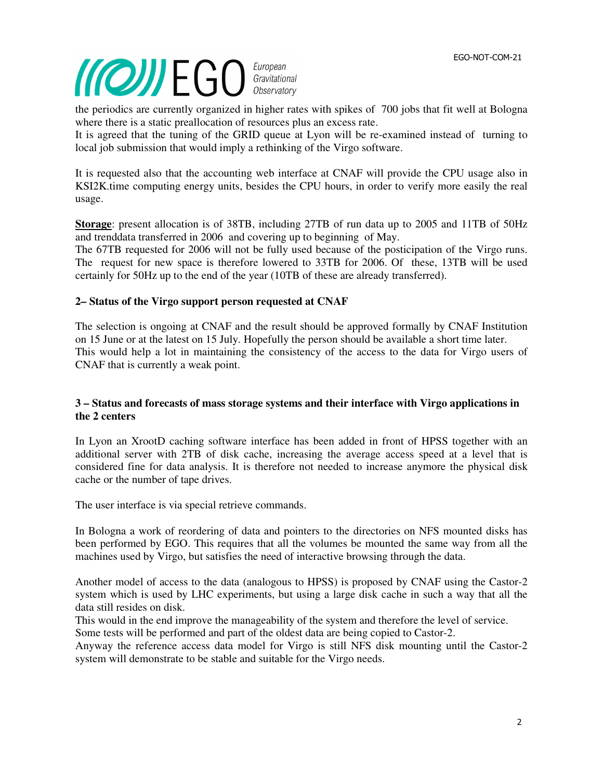# EGO-NOT-COM-10 EGO-NOT-COM-21

the periodics are currently organized in higher rates with spikes of 700 jobs that fit well at Bologna where there is a static preallocation of resources plus an excess rate.

It is agreed that the tuning of the GRID queue at Lyon will be re-examined instead of turning to local job submission that would imply a rethinking of the Virgo software.

It is requested also that the accounting web interface at CNAF will provide the CPU usage also in KSI2K.time computing energy units, besides the CPU hours, in order to verify more easily the real usage.

**Storage**: present allocation is of 38TB, including 27TB of run data up to 2005 and 11TB of 50Hz and trenddata transferred in 2006 and covering up to beginning of May.

The 67TB requested for 2006 will not be fully used because of the posticipation of the Virgo runs. The request for new space is therefore lowered to 33TB for 2006. Of these, 13TB will be used certainly for 50Hz up to the end of the year (10TB of these are already transferred).

### **2– Status of the Virgo support person requested at CNAF**

The selection is ongoing at CNAF and the result should be approved formally by CNAF Institution on 15 June or at the latest on 15 July. Hopefully the person should be available a short time later. This would help a lot in maintaining the consistency of the access to the data for Virgo users of CNAF that is currently a weak point.

### **3 – Status and forecasts of mass storage systems and their interface with Virgo applications in the 2 centers**

In Lyon an XrootD caching software interface has been added in front of HPSS together with an additional server with 2TB of disk cache, increasing the average access speed at a level that is considered fine for data analysis. It is therefore not needed to increase anymore the physical disk cache or the number of tape drives.

The user interface is via special retrieve commands.

In Bologna a work of reordering of data and pointers to the directories on NFS mounted disks has been performed by EGO. This requires that all the volumes be mounted the same way from all the machines used by Virgo, but satisfies the need of interactive browsing through the data.

Another model of access to the data (analogous to HPSS) is proposed by CNAF using the Castor-2 system which is used by LHC experiments, but using a large disk cache in such a way that all the data still resides on disk.

This would in the end improve the manageability of the system and therefore the level of service.

Some tests will be performed and part of the oldest data are being copied to Castor-2.

Anyway the reference access data model for Virgo is still NFS disk mounting until the Castor-2 system will demonstrate to be stable and suitable for the Virgo needs.